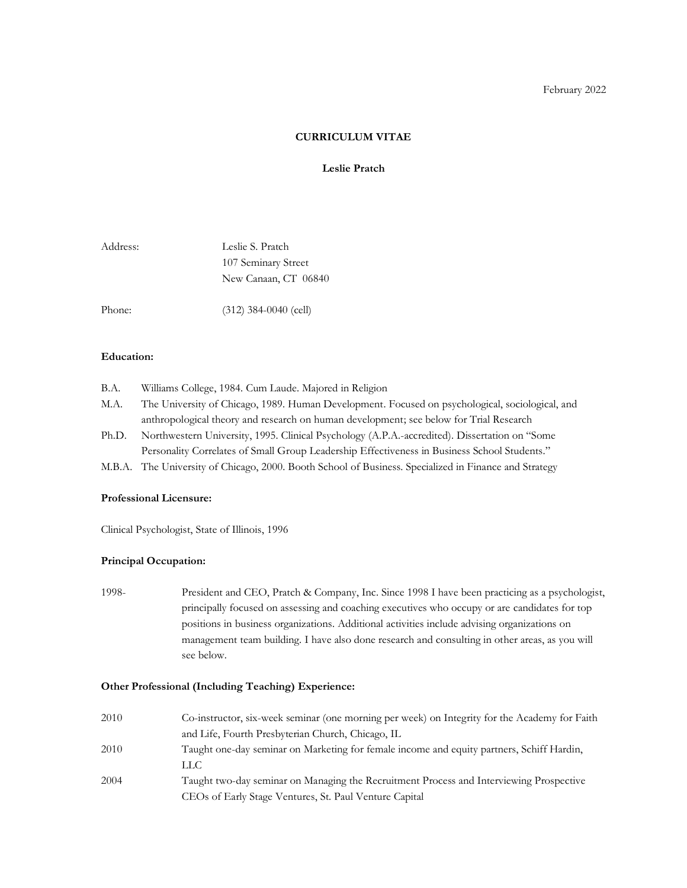#### **CURRICULUM VITAE**

## **Leslie Pratch**

| Address: | Leslie S. Pratch     |
|----------|----------------------|
|          | 107 Seminary Street  |
|          | New Canaan, CT 06840 |
|          |                      |

Phone: (312) 384-0040 (cell)

#### **Education:**

- B.A. Williams College, 1984. Cum Laude. Majored in Religion
- M.A. The University of Chicago, 1989. Human Development. Focused on psychological, sociological, and anthropological theory and research on human development; see below for Trial Research
- Ph.D. Northwestern University, 1995. Clinical Psychology (A.P.A.-accredited). Dissertation on "Some Personality Correlates of Small Group Leadership Effectiveness in Business School Students."
- M.B.A. The University of Chicago, 2000. Booth School of Business. Specialized in Finance and Strategy

#### **Professional Licensure:**

Clinical Psychologist, State of Illinois, 1996

## **Principal Occupation:**

1998- President and CEO, Pratch & Company, Inc. Since 1998 I have been practicing as a psychologist, principally focused on assessing and coaching executives who occupy or are candidates for top positions in business organizations. Additional activities include advising organizations on management team building. I have also done research and consulting in other areas, as you will see below.

#### **Other Professional (Including Teaching) Experience:**

| 2010 | Co-instructor, six-week seminar (one morning per week) on Integrity for the Academy for Faith |
|------|-----------------------------------------------------------------------------------------------|
|      | and Life, Fourth Presbyterian Church, Chicago, IL                                             |
| 2010 | Taught one-day seminar on Marketing for female income and equity partners, Schiff Hardin,     |
|      | LL C                                                                                          |
| 2004 | Taught two-day seminar on Managing the Recruitment Process and Interviewing Prospective       |
|      | CEOs of Early Stage Ventures, St. Paul Venture Capital                                        |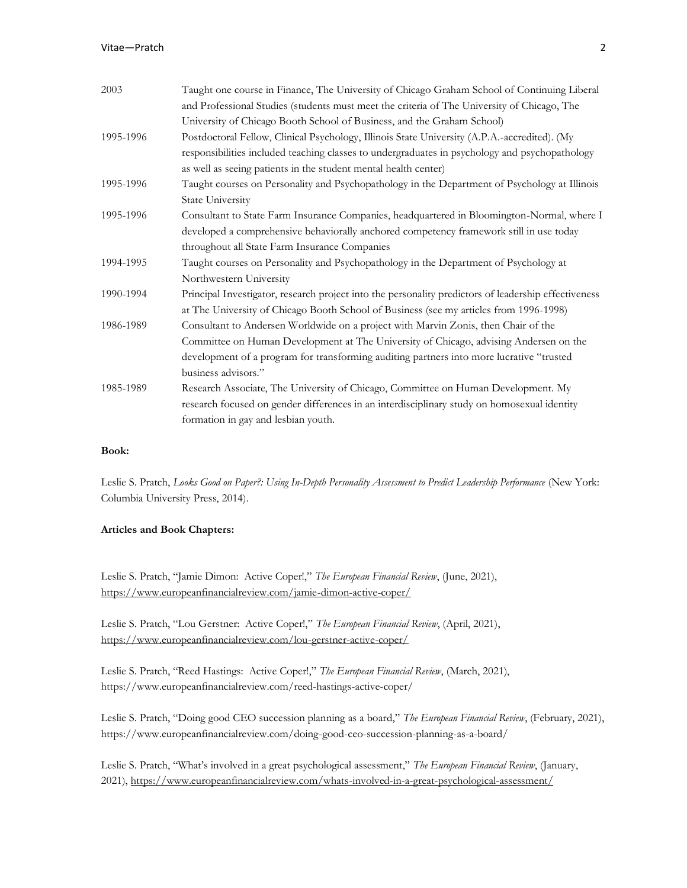| 2003      | Taught one course in Finance, The University of Chicago Graham School of Continuing Liberal          |  |
|-----------|------------------------------------------------------------------------------------------------------|--|
|           | and Professional Studies (students must meet the criteria of The University of Chicago, The          |  |
|           | University of Chicago Booth School of Business, and the Graham School)                               |  |
| 1995-1996 | Postdoctoral Fellow, Clinical Psychology, Illinois State University (A.P.A.-accredited). (My         |  |
|           | responsibilities included teaching classes to undergraduates in psychology and psychopathology       |  |
|           | as well as seeing patients in the student mental health center)                                      |  |
| 1995-1996 | Taught courses on Personality and Psychopathology in the Department of Psychology at Illinois        |  |
|           | State University                                                                                     |  |
| 1995-1996 | Consultant to State Farm Insurance Companies, headquartered in Bloomington-Normal, where I           |  |
|           | developed a comprehensive behaviorally anchored competency framework still in use today              |  |
|           | throughout all State Farm Insurance Companies                                                        |  |
| 1994-1995 | Taught courses on Personality and Psychopathology in the Department of Psychology at                 |  |
|           | Northwestern University                                                                              |  |
| 1990-1994 | Principal Investigator, research project into the personality predictors of leadership effectiveness |  |
|           | at The University of Chicago Booth School of Business (see my articles from 1996-1998)               |  |
| 1986-1989 | Consultant to Andersen Worldwide on a project with Marvin Zonis, then Chair of the                   |  |
|           | Committee on Human Development at The University of Chicago, advising Andersen on the                |  |
|           | development of a program for transforming auditing partners into more lucrative "trusted             |  |
|           | business advisors."                                                                                  |  |
| 1985-1989 | Research Associate, The University of Chicago, Committee on Human Development. My                    |  |
|           | research focused on gender differences in an interdisciplinary study on homosexual identity          |  |
|           | formation in gay and lesbian youth.                                                                  |  |

## **Book:**

Leslie S. Pratch, *[Looks Good on Paper?: Using In-Depth Personality Assessment to Predict Leadership Performance](https://cup.columbia.edu/book/looks-good-on-paper/9780231168366)* (New York: Columbia University Press, 2014).

#### **Articles and Book Chapters:**

Leslie S. Pratch, "Jamie Dimon: Active Coper!," *The European Financial Review*, (June, 2021), <https://www.europeanfinancialreview.com/jamie-dimon-active-coper/>

Leslie S. Pratch, "Lou Gerstner: Active Coper!," *The European Financial Review*, (April, 2021), <https://www.europeanfinancialreview.com/lou-gerstner-active-coper/>

Leslie S. Pratch, "Reed Hastings: Active Coper!," *The European Financial Review*, (March, 2021), https://www.europeanfinancialreview.com/reed-hastings-active-coper/

Leslie S. Pratch, "Doing good CEO succession planning as a board," *The European Financial Review*, (February, 2021), https://www.europeanfinancialreview.com/doing-good-ceo-succession-planning-as-a-board/

Leslie S. Pratch, "What's involved in a great psychological assessment," *The European Financial Review*, (January, 2021),<https://www.europeanfinancialreview.com/whats-involved-in-a-great-psychological-assessment/>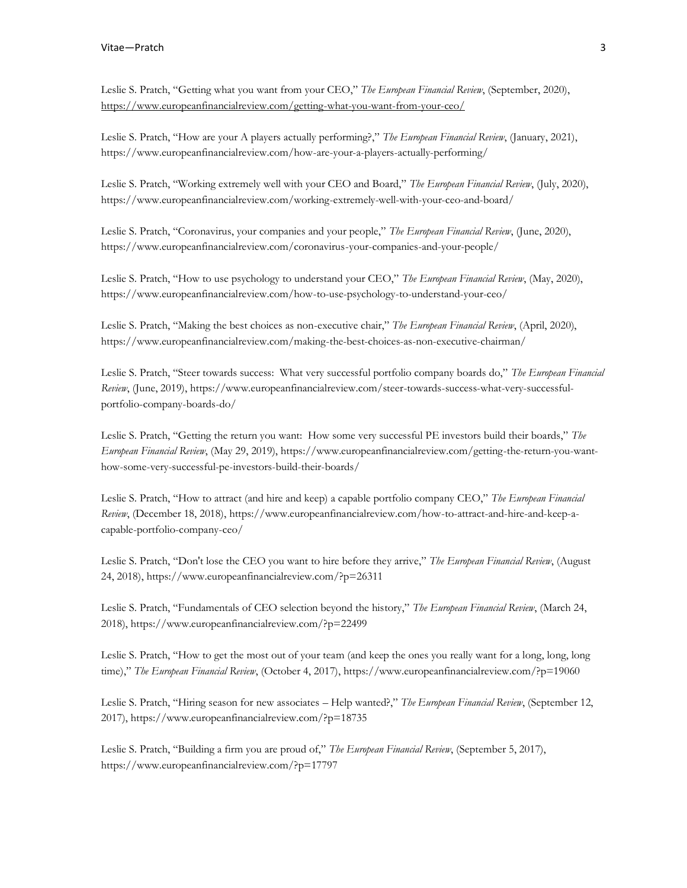Leslie S. Pratch, "Getting what you want from your CEO," *The European Financial Review*, (September, 2020), <https://www.europeanfinancialreview.com/getting-what-you-want-from-your-ceo/>

Leslie S. Pratch, "How are your A players actually performing?," *The European Financial Review*, (January, 2021), https://www.europeanfinancialreview.com/how-are-your-a-players-actually-performing/

Leslie S. Pratch, "Working extremely well with your CEO and Board," *The European Financial Review*, (July, 2020), <https://www.europeanfinancialreview.com/working-extremely-well-with-your-ceo-and-board/>

Leslie S. Pratch, "Coronavirus, your companies and your people," *The European Financial Review*, (June, 2020), https://www.europeanfinancialreview.com/coronavirus-your-companies-and-your-people/

Leslie S. Pratch, "How to use psychology to understand your CEO," *The European Financial Review*, (May, 2020), [https://www.europeanfinancialreview.com/how-to-use-psychology-to-understand-your-ceo/](/Users/LesliePratch/Dropbox/Miscellaneous/CV/%20https:/www.europeanfinancialreview.com/how-to-use-psychology-to-understand-your-ceo)

Leslie S. Pratch, "Making the best choices as non-executive chair," *The European Financial Review*, (April, 2020)[,](/Users/LesliePratch/Dropbox/Miscellaneous/CV/%20https:/www.europeanfinancialreview.com/how-to-use-psychology-to-understand-your-ceo)  [https://www.europeanfinancialreview.com/making-the-best-choices-as-non-executive-chairman/](/Users/LesliePratch/Dropbox/Miscellaneous/CV/%20https:/www.europeanfinancialreview.com/how-to-use-psychology-to-understand-your-ceo)

Leslie S. Pratch, "Steer towards success: What very successful portfolio company boards do," *The European Financial Review*, (June, 2019), [https://www.europeanfinancialreview.com/steer-towards-success-what-very-successful](https://www.europeanfinancialreview.com/steer-towards-success-what-very-successful-portfolio-company-boards-do/)[portfolio-company-boards-do/](https://www.europeanfinancialreview.com/steer-towards-success-what-very-successful-portfolio-company-boards-do/)

Leslie S. Pratch, "Getting the return you want: How some very successful PE investors build their boards," *The European Financial Review*, (May 29, 2019), https://www.europeanfinancialreview.com/getting-the-return-you-wanthow-some-very-successful-pe-investors-build-their-boards/

Leslie S. Pratch, "How to attract (and hire and keep) a capable portfolio company CEO," *The European Financial Review*, (December 18, 2018), https://www.europeanfinancialreview.com/how-to-attract-and-hire-and-keep-acapable-portfolio-company-ceo/

Leslie S. Pratch, "Don't lose the CEO you want to hire before they arrive," *The European Financial Review*, (August 24, 2018), https://www.europeanfinancialreview.com/?p=26311

Leslie S. Pratch, "Fundamentals of CEO selection beyond the history," *The European Financial Review*, (March 24, 2018), https://www.europeanfinancialreview.com/?p=22499

Leslie S. Pratch, "How to get the most out of your team (and keep the ones you really want for a long, long, long time)," *The European Financial Review*, (October 4, 2017), https://www.europeanfinancialreview.com/?p=19060

Leslie S. Pratch, "Hiring season for new associates – Help wanted?," *The European Financial Review*, (September 12, 2017), https://www.europeanfinancialreview.com/?p=18735

Leslie S. Pratch, "Building a firm you are proud of," *The European Financial Review*, (September 5, 2017), <https://www.europeanfinancialreview.com/?p=17797>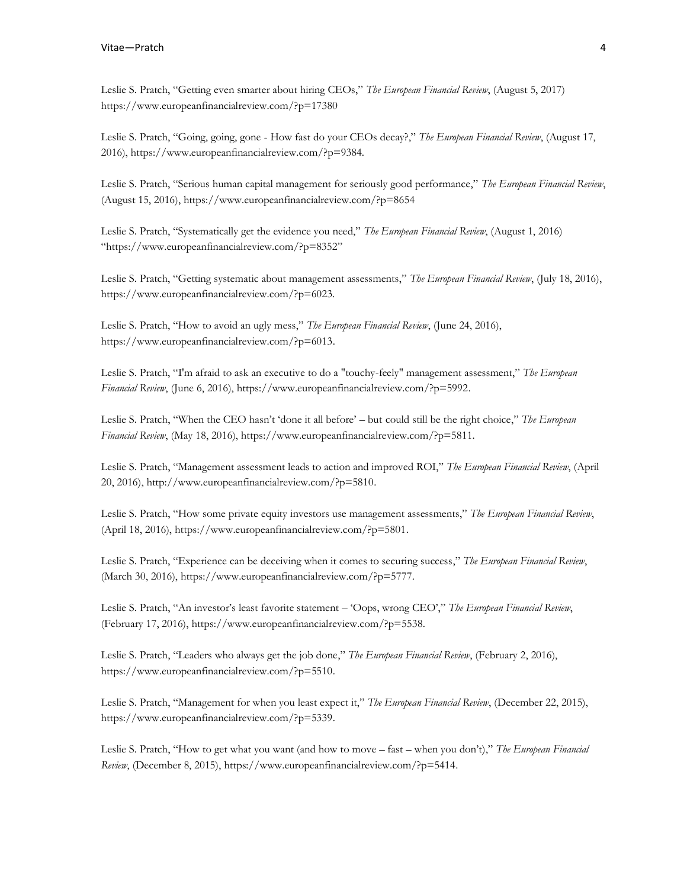Leslie S. Pratch, "Getting even smarter about hiring CEOs," *The European Financial Review*, (August 5, 2017) https://www.europeanfinancialreview.com/?p=17380

Leslie S. Pratch, "Going, going, gone - How fast do your CEOs decay?," *The European Financial Review*, (August 17, 2016), https://www.europeanfinancialreview.com/?p=9384.

Leslie S. Pratch, "Serious human capital management for seriously good performance," *The European Financial Review*, (August 15, 2016), https://www.europeanfinancialreview.com/?p=8654

Leslie S. Pratch, "Systematically get the evidence you need," *The European Financial Review*, (August 1, 2016) "https://www.europeanfinancialreview.com/?p=8352"

Leslie S. Pratch, "Getting systematic about management assessments," *The European Financial Review*, (July 18, 2016), https://www.europeanfinancialreview.com/?p=6023.

Leslie S. Pratch, "How to avoid an ugly mess," *The European Financial Review*, (June 24, 2016), https://www.europeanfinancialreview.com/?p=6013.

Leslie S. Pratch, "I'm afraid to ask an executive to do a "touchy-feely" management assessment," *The European Financial Review*, (June 6, 2016), https://www.europeanfinancialreview.com/?p=5992.

Leslie S. Pratch, "When the CEO hasn't 'done it all before' – but could still be the right choice," *The European Financial Review*, (May 18, 2016), https://www.europeanfinancialreview.com/?p=5811.

Leslie S. Pratch, "Management assessment leads to action and improved ROI," *The European Financial Review*, (April 20, 2016), http://www.europeanfinancialreview.com/?p=5810.

Leslie S. Pratch, "How some private equity investors use management assessments," *The European Financial Review*, (April 18, 2016), https://www.europeanfinancialreview.com/?p=5801.

Leslie S. Pratch, "Experience can be deceiving when it comes to securing success," *The European Financial Review*, (March 30, 2016), https://www.europeanfinancialreview.com/?p=5777.

Leslie S. Pratch, "An investor's least favorite statement – 'Oops, wrong CEO'," *The European Financial Review*, (February 17, 2016), https://www.europeanfinancialreview.com/?p=5538.

Leslie S. Pratch, "Leaders who always get the job done," *The European Financial Review*, (February 2, 2016), https://www.europeanfinancialreview.com/?p=5510.

Leslie S. Pratch, "Management for when you least expect it," *The European Financial Review*, (December 22, 2015), https://www.europeanfinancialreview.com/?p=5339.

Leslie S. Pratch, "How to get what you want (and how to move – fast – when you don't)," *The European Financial Review*, (December 8, 2015), https://www.europeanfinancialreview.com/?p=5414.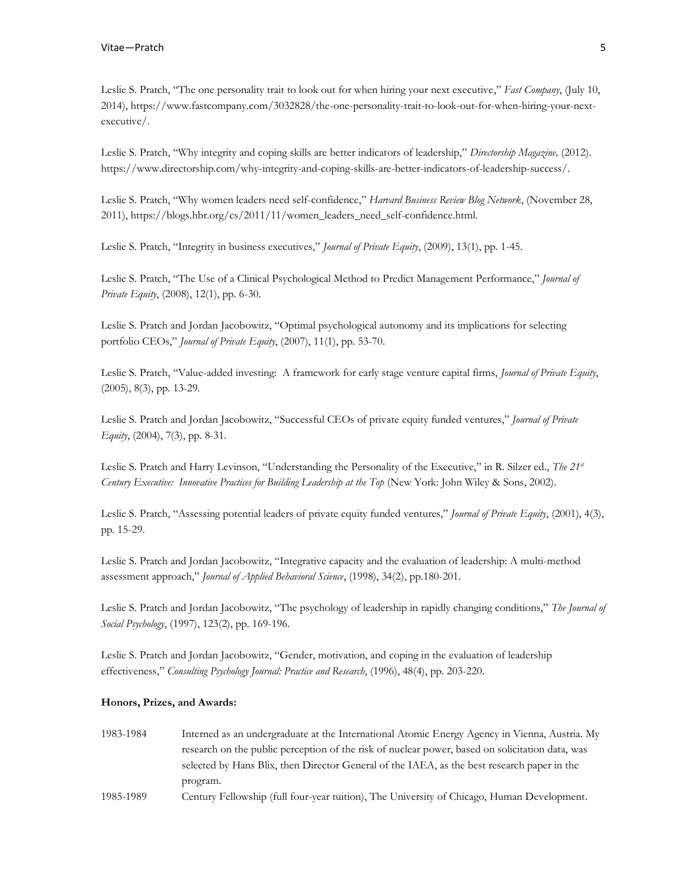Leslie S. Pratch, "The one personality trait to look out for when hiring your next executive," *Fast Company*, (July 10, 2014), https://www.fastcompany.com/3032828/the-one-personality-trait-to-look-out-for-when-hiring-your-nextexecutive/.

Leslie S. Pratch, "Why integrity and coping skills are better indicators of leadership," *Directorship Magazine,* (2012). https://www.directorship.com/why-integrity-and-coping-skills-are-better-indicators-of-leadership-success/.

Leslie S. Pratch, "Why women leaders need self-confidence," *Harvard Business Review Blog Network*, (November 28, 2011), https://blogs.hbr.org/cs/2011/11/women\_leaders\_need\_self-confidence.html.

Leslie S. Pratch, "Integrity in business executives," *Journal of Private Equity*, (2009), 13(1), pp. 1-45.

Leslie S. Pratch, "The Use of a Clinical Psychological Method to Predict Management Performance," *Journal of Private Equity*, (2008), 12(1), pp. 6-30.

Leslie S. Pratch and Jordan Jacobowitz, "Optimal psychological autonomy and its implications for selecting portfolio CEOs," *Journal of Private Equity*, (2007), 11(1), pp. 53-70.

Leslie S. Pratch, "Value-added investing: A framework for early stage venture capital firms, *Journal of Private Equity*, (2005), 8(3), pp. 13-29.

Leslie S. Pratch and Jordan Jacobowitz, "Successful CEOs of private equity funded ventures," *Journal of Private Equity*, (2004), 7(3), pp. 8-31.

Leslie S. Pratch and Harry Levinson, "Understanding the Personality of the Executive," in R. Silzer ed., *The 21st Century Executive: Innovative Practices for Building Leadership at the Top* (New York: John Wiley & Sons, 2002).

Leslie S. Pratch, "Assessing potential leaders of private equity funded ventures," *Journal of Private Equity*, (2001), 4(3), pp. 15-29.

Leslie S. Pratch and Jordan Jacobowitz, "Integrative capacity and the evaluation of leadership: A multi-method assessment approach," *Journal of Applied Behavioral Science*, (1998), 34(2), pp.180-201.

Leslie S. Pratch and Jordan Jacobowitz, "The psychology of leadership in rapidly changing conditions," *The Journal of Social Psychology*, (1997), 123(2), pp. 169-196.

Leslie S. Pratch and Jordan Jacobowitz, "Gender, motivation, and coping in the evaluation of leadership effectiveness," *Consulting Psychology Journal: Practice and Research*, (1996), 48(4), pp. 203-220.

#### **Honors, Prizes, and Awards:**

- 1983-1984 Interned as an undergraduate at the International Atomic Energy Agency in Vienna, Austria. My research on the public perception of the risk of nuclear power, based on solicitation data, was selected by Hans Blix, then Director General of the IAEA, as the best research paper in the program.
- 1985-1989 Century Fellowship (full four-year tuition), The University of Chicago, Human Development.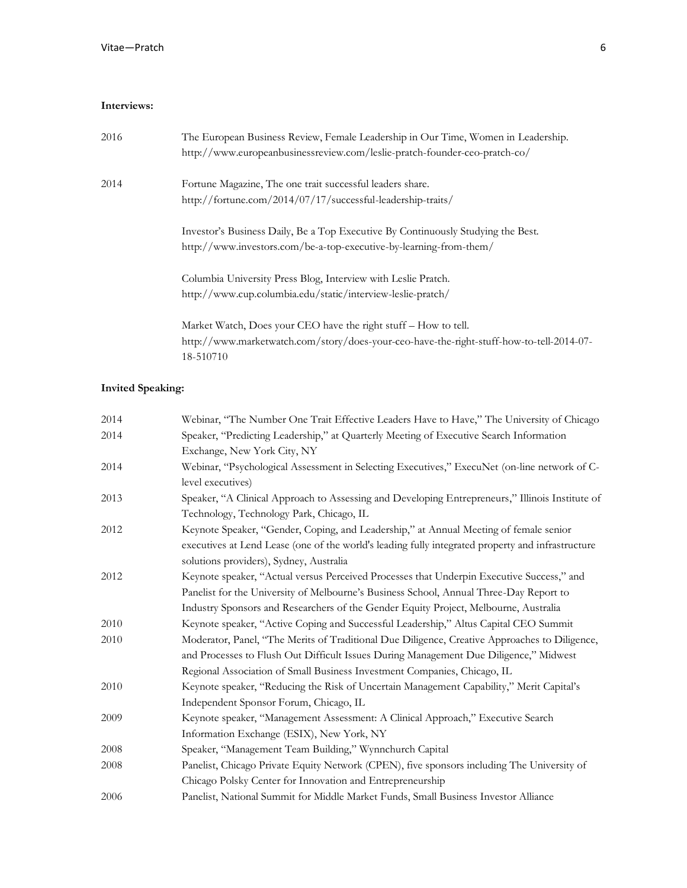## **Interviews:**

| 2016 | The European Business Review, Female Leadership in Our Time, Women in Leadership.<br>http://www.europeanbusinessreview.com/leslie-pratch-founder-ceo-pratch-co/ |
|------|-----------------------------------------------------------------------------------------------------------------------------------------------------------------|
| 2014 | Fortune Magazine, The one trait successful leaders share.                                                                                                       |
|      | http://fortune.com/2014/07/17/successful-leadership-traits/                                                                                                     |
|      | Investor's Business Daily, Be a Top Executive By Continuously Studying the Best.                                                                                |
|      | http://www.investors.com/be-a-top-executive-by-learning-from-them/                                                                                              |
|      | Columbia University Press Blog, Interview with Leslie Pratch.                                                                                                   |
|      | http://www.cup.columbia.edu/static/interview-leslie-pratch/                                                                                                     |
|      | Market Watch, Does your CEO have the right stuff – How to tell.                                                                                                 |
|      | http://www.marketwatch.com/story/does-your-ceo-have-the-right-stuff-how-to-tell-2014-07-<br>18-510710                                                           |
|      |                                                                                                                                                                 |

# **Invited Speaking:**

| 2014 | Webinar, "The Number One Trait Effective Leaders Have to Have," The University of Chicago         |  |  |
|------|---------------------------------------------------------------------------------------------------|--|--|
| 2014 | Speaker, "Predicting Leadership," at Quarterly Meeting of Executive Search Information            |  |  |
|      | Exchange, New York City, NY                                                                       |  |  |
| 2014 | Webinar, "Psychological Assessment in Selecting Executives," ExecuNet (on-line network of C-      |  |  |
|      | level executives)                                                                                 |  |  |
| 2013 | Speaker, "A Clinical Approach to Assessing and Developing Entrepreneurs," Illinois Institute of   |  |  |
|      | Technology, Technology Park, Chicago, IL                                                          |  |  |
| 2012 | Keynote Speaker, "Gender, Coping, and Leadership," at Annual Meeting of female senior             |  |  |
|      | executives at Lend Lease (one of the world's leading fully integrated property and infrastructure |  |  |
|      | solutions providers), Sydney, Australia                                                           |  |  |
| 2012 | Keynote speaker, "Actual versus Perceived Processes that Underpin Executive Success," and         |  |  |
|      | Panelist for the University of Melbourne's Business School, Annual Three-Day Report to            |  |  |
|      | Industry Sponsors and Researchers of the Gender Equity Project, Melbourne, Australia              |  |  |
| 2010 | Keynote speaker, "Active Coping and Successful Leadership," Altus Capital CEO Summit              |  |  |
| 2010 | Moderator, Panel, "The Merits of Traditional Due Diligence, Creative Approaches to Diligence,     |  |  |
|      | and Processes to Flush Out Difficult Issues During Management Due Diligence," Midwest             |  |  |
|      | Regional Association of Small Business Investment Companies, Chicago, IL                          |  |  |
| 2010 | Keynote speaker, "Reducing the Risk of Uncertain Management Capability," Merit Capital's          |  |  |
|      | Independent Sponsor Forum, Chicago, IL                                                            |  |  |
| 2009 | Keynote speaker, "Management Assessment: A Clinical Approach," Executive Search                   |  |  |
|      | Information Exchange (ESIX), New York, NY                                                         |  |  |
| 2008 | Speaker, "Management Team Building," Wynnchurch Capital                                           |  |  |
| 2008 | Panelist, Chicago Private Equity Network (CPEN), five sponsors including The University of        |  |  |
|      | Chicago Polsky Center for Innovation and Entrepreneurship                                         |  |  |
| 2006 | Panelist, National Summit for Middle Market Funds, Small Business Investor Alliance               |  |  |